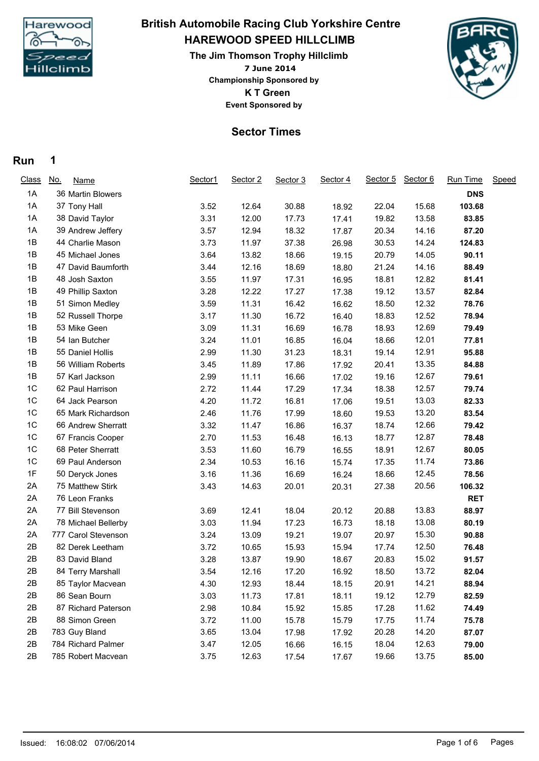

# **HAREWOOD SPEED HILLCLIMB British Automobile Racing Club Yorkshire Centre**

**7 June 2014 The Jim Thomson Trophy Hillclimb K T Green Event Sponsored by Championship Sponsored by**



### **Sector Times**

#### **Run 1**

| <b>Class</b> | <u>No.</u><br><b>Name</b> | Sector1 | Sector 2 | Sector 3 | Sector 4 | Sector 5 | Sector 6 | Run Time   | Speed |
|--------------|---------------------------|---------|----------|----------|----------|----------|----------|------------|-------|
| 1A           | 36 Martin Blowers         |         |          |          |          |          |          | <b>DNS</b> |       |
| 1A           | 37 Tony Hall              | 3.52    | 12.64    | 30.88    | 18.92    | 22.04    | 15.68    | 103.68     |       |
| 1A           | 38 David Taylor           | 3.31    | 12.00    | 17.73    | 17.41    | 19.82    | 13.58    | 83.85      |       |
| 1A           | 39 Andrew Jeffery         | 3.57    | 12.94    | 18.32    | 17.87    | 20.34    | 14.16    | 87.20      |       |
| 1B           | 44 Charlie Mason          | 3.73    | 11.97    | 37.38    | 26.98    | 30.53    | 14.24    | 124.83     |       |
| 1B           | 45 Michael Jones          | 3.64    | 13.82    | 18.66    | 19.15    | 20.79    | 14.05    | 90.11      |       |
| 1B           | 47 David Baumforth        | 3.44    | 12.16    | 18.69    | 18.80    | 21.24    | 14.16    | 88.49      |       |
| 1B           | 48 Josh Saxton            | 3.55    | 11.97    | 17.31    | 16.95    | 18.81    | 12.82    | 81.41      |       |
| 1B           | 49 Phillip Saxton         | 3.28    | 12.22    | 17.27    | 17.38    | 19.12    | 13.57    | 82.84      |       |
| 1B           | 51 Simon Medley           | 3.59    | 11.31    | 16.42    | 16.62    | 18.50    | 12.32    | 78.76      |       |
| 1B           | 52 Russell Thorpe         | 3.17    | 11.30    | 16.72    | 16.40    | 18.83    | 12.52    | 78.94      |       |
| 1B           | 53 Mike Geen              | 3.09    | 11.31    | 16.69    | 16.78    | 18.93    | 12.69    | 79.49      |       |
| 1B           | 54 Ian Butcher            | 3.24    | 11.01    | 16.85    | 16.04    | 18.66    | 12.01    | 77.81      |       |
| 1B           | 55 Daniel Hollis          | 2.99    | 11.30    | 31.23    | 18.31    | 19.14    | 12.91    | 95.88      |       |
| 1B           | 56 William Roberts        | 3.45    | 11.89    | 17.86    | 17.92    | 20.41    | 13.35    | 84.88      |       |
| 1B           | 57 Karl Jackson           | 2.99    | 11.11    | 16.66    | 17.02    | 19.16    | 12.67    | 79.61      |       |
| 1C           | 62 Paul Harrison          | 2.72    | 11.44    | 17.29    | 17.34    | 18.38    | 12.57    | 79.74      |       |
| 1C           | 64 Jack Pearson           | 4.20    | 11.72    | 16.81    | 17.06    | 19.51    | 13.03    | 82.33      |       |
| 1C           | 65 Mark Richardson        | 2.46    | 11.76    | 17.99    | 18.60    | 19.53    | 13.20    | 83.54      |       |
| 1C           | 66 Andrew Sherratt        | 3.32    | 11.47    | 16.86    | 16.37    | 18.74    | 12.66    | 79.42      |       |
| 1C           | 67 Francis Cooper         | 2.70    | 11.53    | 16.48    | 16.13    | 18.77    | 12.87    | 78.48      |       |
| 1C           | 68 Peter Sherratt         | 3.53    | 11.60    | 16.79    | 16.55    | 18.91    | 12.67    | 80.05      |       |
| 1C           | 69 Paul Anderson          | 2.34    | 10.53    | 16.16    | 15.74    | 17.35    | 11.74    | 73.86      |       |
| 1F           | 50 Deryck Jones           | 3.16    | 11.36    | 16.69    | 16.24    | 18.66    | 12.45    | 78.56      |       |
| 2A           | 75 Matthew Stirk          | 3.43    | 14.63    | 20.01    | 20.31    | 27.38    | 20.56    | 106.32     |       |
| 2A           | 76 Leon Franks            |         |          |          |          |          |          | <b>RET</b> |       |
| 2A           | 77 Bill Stevenson         | 3.69    | 12.41    | 18.04    | 20.12    | 20.88    | 13.83    | 88.97      |       |
| 2A           | 78 Michael Bellerby       | 3.03    | 11.94    | 17.23    | 16.73    | 18.18    | 13.08    | 80.19      |       |
| 2A           | 777 Carol Stevenson       | 3.24    | 13.09    | 19.21    | 19.07    | 20.97    | 15.30    | 90.88      |       |
| 2B           | 82 Derek Leetham          | 3.72    | 10.65    | 15.93    | 15.94    | 17.74    | 12.50    | 76.48      |       |
| 2B           | 83 David Bland            | 3.28    | 13.87    | 19.90    | 18.67    | 20.83    | 15.02    | 91.57      |       |
| 2B           | 84 Terry Marshall         | 3.54    | 12.16    | 17.20    | 16.92    | 18.50    | 13.72    | 82.04      |       |
| 2B           | 85 Taylor Macvean         | 4.30    | 12.93    | 18.44    | 18.15    | 20.91    | 14.21    | 88.94      |       |
| 2B           | 86 Sean Bourn             | 3.03    | 11.73    | 17.81    | 18.11    | 19.12    | 12.79    | 82.59      |       |
| 2B           | 87 Richard Paterson       | 2.98    | 10.84    | 15.92    | 15.85    | 17.28    | 11.62    | 74.49      |       |
| 2B           | 88 Simon Green            | 3.72    | 11.00    | 15.78    | 15.79    | 17.75    | 11.74    | 75.78      |       |
| 2B           | 783 Guy Bland             | 3.65    | 13.04    | 17.98    | 17.92    | 20.28    | 14.20    | 87.07      |       |
| 2B           | 784 Richard Palmer        | 3.47    | 12.05    | 16.66    | 16.15    | 18.04    | 12.63    | 79.00      |       |
| 2B           | 785 Robert Macvean        | 3.75    | 12.63    | 17.54    | 17.67    | 19.66    | 13.75    | 85.00      |       |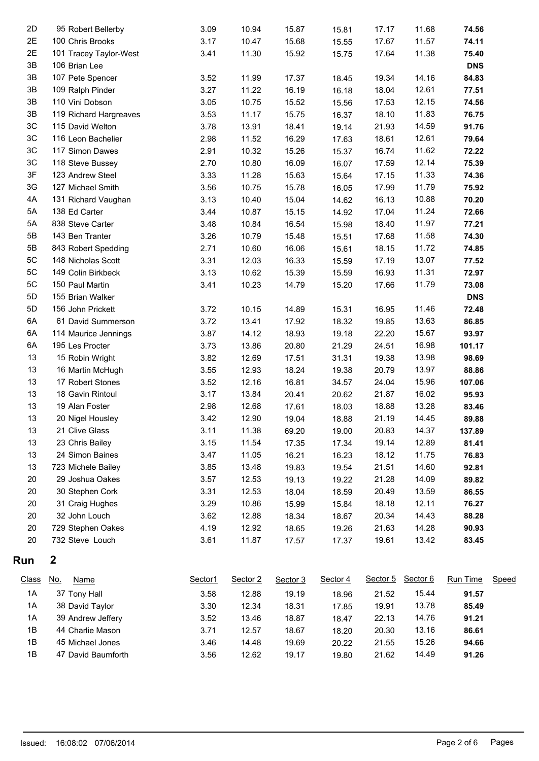| 2D           | 95 Robert Bellerby        | 3.09    | 10.94    | 15.87    | 15.81    | 17.17 | 11.68             | 74.56      |       |
|--------------|---------------------------|---------|----------|----------|----------|-------|-------------------|------------|-------|
| 2E           | 100 Chris Brooks          | 3.17    | 10.47    | 15.68    | 15.55    | 17.67 | 11.57             | 74.11      |       |
| 2E           | 101 Tracey Taylor-West    | 3.41    | 11.30    | 15.92    | 15.75    | 17.64 | 11.38             | 75.40      |       |
| 3B           | 106 Brian Lee             |         |          |          |          |       |                   | <b>DNS</b> |       |
| 3B           | 107 Pete Spencer          | 3.52    | 11.99    | 17.37    | 18.45    | 19.34 | 14.16             | 84.83      |       |
| 3B           | 109 Ralph Pinder          | 3.27    | 11.22    | 16.19    | 16.18    | 18.04 | 12.61             | 77.51      |       |
| 3B           | 110 Vini Dobson           | 3.05    | 10.75    | 15.52    | 15.56    | 17.53 | 12.15             | 74.56      |       |
| 3B           | 119 Richard Hargreaves    | 3.53    | 11.17    | 15.75    | 16.37    | 18.10 | 11.83             | 76.75      |       |
| 3C           | 115 David Welton          | 3.78    | 13.91    | 18.41    | 19.14    | 21.93 | 14.59             | 91.76      |       |
| 3C           | 116 Leon Bachelier        | 2.98    | 11.52    | 16.29    | 17.63    | 18.61 | 12.61             | 79.64      |       |
| 3C           | 117 Simon Dawes           | 2.91    | 10.32    | 15.26    | 15.37    | 16.74 | 11.62             | 72.22      |       |
| 3C           | 118 Steve Bussey          | 2.70    | 10.80    | 16.09    | 16.07    | 17.59 | 12.14             | 75.39      |       |
| 3F           | 123 Andrew Steel          | 3.33    | 11.28    | 15.63    | 15.64    | 17.15 | 11.33             | 74.36      |       |
| 3G           | 127 Michael Smith         | 3.56    | 10.75    | 15.78    | 16.05    | 17.99 | 11.79             | 75.92      |       |
| 4A           | 131 Richard Vaughan       | 3.13    | 10.40    | 15.04    | 14.62    | 16.13 | 10.88             | 70.20      |       |
| 5A           | 138 Ed Carter             | 3.44    | 10.87    | 15.15    | 14.92    | 17.04 | 11.24             | 72.66      |       |
| 5A           | 838 Steve Carter          | 3.48    | 10.84    | 16.54    | 15.98    | 18.40 | 11.97             | 77.21      |       |
| 5B           | 143 Ben Tranter           | 3.26    | 10.79    | 15.48    | 15.51    | 17.68 | 11.58             | 74.30      |       |
| 5B           | 843 Robert Spedding       | 2.71    | 10.60    | 16.06    | 15.61    | 18.15 | 11.72             | 74.85      |       |
| 5C           | 148 Nicholas Scott        | 3.31    | 12.03    | 16.33    | 15.59    | 17.19 | 13.07             | 77.52      |       |
| 5C           | 149 Colin Birkbeck        | 3.13    | 10.62    | 15.39    | 15.59    | 16.93 | 11.31             | 72.97      |       |
| 5C           | 150 Paul Martin           | 3.41    | 10.23    | 14.79    | 15.20    | 17.66 | 11.79             | 73.08      |       |
| 5D           | 155 Brian Walker          |         |          |          |          |       |                   | <b>DNS</b> |       |
| 5D           | 156 John Prickett         | 3.72    | 10.15    | 14.89    | 15.31    | 16.95 | 11.46             | 72.48      |       |
| 6A           | 61 David Summerson        | 3.72    | 13.41    | 17.92    | 18.32    | 19.85 | 13.63             | 86.85      |       |
| 6A           | 114 Maurice Jennings      | 3.87    | 14.12    | 18.93    | 19.18    | 22.20 | 15.67             | 93.97      |       |
| 6A           | 195 Les Procter           | 3.73    | 13.86    | 20.80    | 21.29    | 24.51 | 16.98             | 101.17     |       |
| 13           | 15 Robin Wright           | 3.82    | 12.69    | 17.51    | 31.31    | 19.38 | 13.98             | 98.69      |       |
| 13           | 16 Martin McHugh          | 3.55    | 12.93    | 18.24    | 19.38    | 20.79 | 13.97             | 88.86      |       |
| 13           | 17 Robert Stones          | 3.52    | 12.16    | 16.81    | 34.57    | 24.04 | 15.96             | 107.06     |       |
| 13           | 18 Gavin Rintoul          | 3.17    | 13.84    | 20.41    | 20.62    | 21.87 | 16.02             | 95.93      |       |
| 13           | 19 Alan Foster            | 2.98    | 12.68    | 17.61    | 18.03    | 18.88 | 13.28             | 83.46      |       |
| 13           | 20 Nigel Housley          | 3.42    | 12.90    | 19.04    | 18.88    | 21.19 | 14.45             | 89.88      |       |
| 13           | 21 Clive Glass            | 3.11    | 11.38    | 69.20    | 19.00    | 20.83 | 14.37             | 137.89     |       |
| 13           | 23 Chris Bailey           | 3.15    | 11.54    | 17.35    | 17.34    | 19.14 | 12.89             | 81.41      |       |
| 13           | 24 Simon Baines           | 3.47    | 11.05    | 16.21    | 16.23    | 18.12 | 11.75             | 76.83      |       |
| 13           | 723 Michele Bailey        | 3.85    | 13.48    | 19.83    | 19.54    | 21.51 | 14.60             | 92.81      |       |
| 20           | 29 Joshua Oakes           | 3.57    | 12.53    | 19.13    | 19.22    | 21.28 | 14.09             | 89.82      |       |
| 20           | 30 Stephen Cork           | 3.31    | 12.53    | 18.04    | 18.59    | 20.49 | 13.59             | 86.55      |       |
| 20           | 31 Craig Hughes           | 3.29    | 10.86    | 15.99    | 15.84    | 18.18 | 12.11             | 76.27      |       |
| 20           | 32 John Louch             | 3.62    | 12.88    | 18.34    | 18.67    | 20.34 | 14.43             | 88.28      |       |
| 20           | 729 Stephen Oakes         | 4.19    | 12.92    | 18.65    | 19.26    | 21.63 | 14.28             | 90.93      |       |
| $20\,$       | 732 Steve Louch           | 3.61    | 11.87    | 17.57    | 17.37    | 19.61 | 13.42             | 83.45      |       |
| Run          | $\boldsymbol{2}$          |         |          |          |          |       |                   |            |       |
| <b>Class</b> | <u>No.</u><br><b>Name</b> | Sector1 | Sector 2 | Sector 3 | Sector 4 |       | Sector 5 Sector 6 | Run Time   | Speed |
| 1A           | 37 Tony Hall              | 3.58    | 12.88    | 19.19    | 18.96    | 21.52 | 15.44             | 91.57      |       |
| 1A           | 38 David Taylor           | 3.30    | 12.34    | 18.31    | 17.85    | 19.91 | 13.78             | 85.49      |       |
|              |                           |         |          |          |          |       |                   |            |       |

| 1A | 38 David Taylor    | 3.30 | 12.34 | 18.31 | 17.85 | 19.91 | 13.78 | 85.49 |
|----|--------------------|------|-------|-------|-------|-------|-------|-------|
| 1A | 39 Andrew Jeffery  | 3.52 | 13.46 | 18.87 | 18.47 | 22.13 | 14.76 | 91.21 |
| 1B | 44 Charlie Mason   | 3.71 | 12.57 | 18.67 | 18.20 | 20.30 | 13.16 | 86.61 |
| 1B | 45 Michael Jones   | 3.46 | 14.48 | 19.69 | 20.22 | 21.55 | 15.26 | 94.66 |
| 1B | 47 David Baumforth | 3.56 | 12.62 | 19.17 | 19.80 | 21.62 | 14.49 | 91.26 |
|    |                    |      |       |       |       |       |       |       |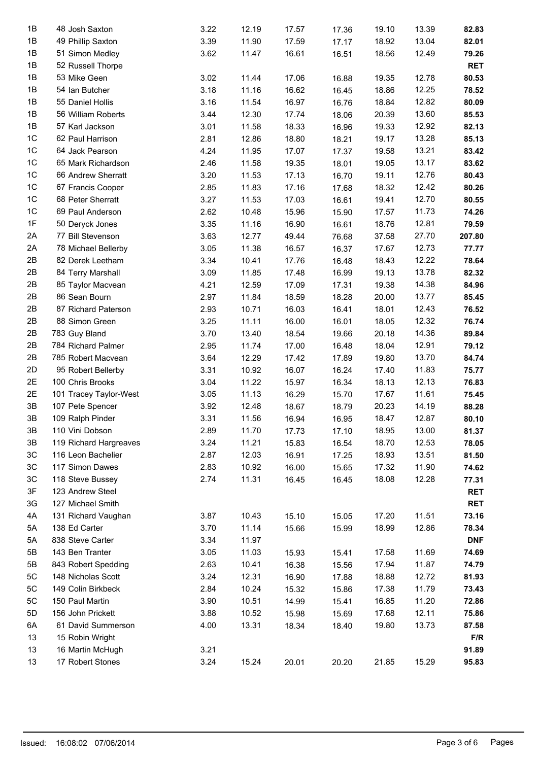| 1B            | 48 Josh Saxton                               | 3.22 | 12.19 | 17.57 | 17.36 | 19.10          | 13.39 | 82.83       |
|---------------|----------------------------------------------|------|-------|-------|-------|----------------|-------|-------------|
| 1B            | 49 Phillip Saxton                            | 3.39 | 11.90 | 17.59 | 17.17 | 18.92          | 13.04 | 82.01       |
| 1B            | 51 Simon Medley                              | 3.62 | 11.47 | 16.61 | 16.51 | 18.56          | 12.49 | 79.26       |
| 1B            | 52 Russell Thorpe                            |      |       |       |       |                |       | <b>RET</b>  |
| 1B            | 53 Mike Geen                                 | 3.02 | 11.44 | 17.06 | 16.88 | 19.35          | 12.78 | 80.53       |
| 1B            | 54 Ian Butcher                               | 3.18 | 11.16 | 16.62 | 16.45 | 18.86          | 12.25 | 78.52       |
| 1B            | 55 Daniel Hollis                             | 3.16 | 11.54 | 16.97 | 16.76 | 18.84          | 12.82 | 80.09       |
| 1B            | 56 William Roberts                           | 3.44 | 12.30 | 17.74 | 18.06 | 20.39          | 13.60 | 85.53       |
| 1B            | 57 Karl Jackson                              | 3.01 | 11.58 | 18.33 |       | 19.33          | 12.92 | 82.13       |
| $1C$          |                                              |      |       |       | 16.96 |                |       |             |
|               | 62 Paul Harrison                             | 2.81 | 12.86 | 18.80 | 18.21 | 19.17          | 13.28 | 85.13       |
| $1C$          | 64 Jack Pearson                              | 4.24 | 11.95 | 17.07 | 17.37 | 19.58          | 13.21 | 83.42       |
| $1C$          | 65 Mark Richardson                           | 2.46 | 11.58 | 19.35 | 18.01 | 19.05          | 13.17 | 83.62       |
| $1C$          | 66 Andrew Sherratt                           | 3.20 | 11.53 | 17.13 | 16.70 | 19.11          | 12.76 | 80.43       |
| $1C$          | 67 Francis Cooper                            | 2.85 | 11.83 | 17.16 | 17.68 | 18.32          | 12.42 | 80.26       |
| 1C            | 68 Peter Sherratt                            | 3.27 | 11.53 | 17.03 | 16.61 | 19.41          | 12.70 | 80.55       |
| $1C$          | 69 Paul Anderson                             | 2.62 | 10.48 | 15.96 | 15.90 | 17.57          | 11.73 | 74.26       |
| 1F            | 50 Deryck Jones                              | 3.35 | 11.16 | 16.90 | 16.61 | 18.76          | 12.81 | 79.59       |
| 2A            | 77 Bill Stevenson                            | 3.63 | 12.77 | 49.44 | 76.68 | 37.58          | 27.70 | 207.80      |
| 2A            | 78 Michael Bellerby                          | 3.05 | 11.38 | 16.57 | 16.37 | 17.67          | 12.73 | 77.77       |
| 2B            | 82 Derek Leetham                             | 3.34 | 10.41 | 17.76 | 16.48 | 18.43          | 12.22 | 78.64       |
| 2B            | 84 Terry Marshall                            | 3.09 | 11.85 | 17.48 | 16.99 | 19.13          | 13.78 | 82.32       |
| 2B            | 85 Taylor Macvean                            | 4.21 | 12.59 | 17.09 | 17.31 | 19.38          | 14.38 | 84.96       |
| 2B            | 86 Sean Bourn                                | 2.97 | 11.84 | 18.59 | 18.28 | 20.00          | 13.77 | 85.45       |
| 2B            | 87 Richard Paterson                          | 2.93 | 10.71 | 16.03 | 16.41 | 18.01          | 12.43 | 76.52       |
| 2B            | 88 Simon Green                               | 3.25 | 11.11 | 16.00 | 16.01 | 18.05          | 12.32 | 76.74       |
| 2B            | 783 Guy Bland                                | 3.70 | 13.40 | 18.54 | 19.66 | 20.18          | 14.36 | 89.84       |
| 2B            | 784 Richard Palmer                           | 2.95 | 11.74 | 17.00 | 16.48 | 18.04          | 12.91 | 79.12       |
| 2B            | 785 Robert Macvean                           | 3.64 | 12.29 | 17.42 | 17.89 | 19.80          | 13.70 | 84.74       |
| 2D            | 95 Robert Bellerby                           | 3.31 | 10.92 | 16.07 | 16.24 | 17.40          | 11.83 | 75.77       |
| 2E            | 100 Chris Brooks                             | 3.04 | 11.22 | 15.97 | 16.34 | 18.13          | 12.13 | 76.83       |
| 2E            | 101 Tracey Taylor-West                       | 3.05 | 11.13 | 16.29 | 15.70 | 17.67          | 11.61 | 75.45       |
| 3B            | 107 Pete Spencer                             | 3.92 | 12.48 | 18.67 | 18.79 | 20.23          | 14.19 | 88.28       |
| 3B            | 109 Ralph Pinder                             | 3.31 | 11.56 | 16.94 | 16.95 | 18.47          | 12.87 | 80.10       |
| $3\mathsf{B}$ | 110 Vini Dobson                              | 2.89 | 11.70 | 17.73 |       | 18.95          | 13.00 |             |
| 3B            |                                              | 3.24 | 11.21 |       | 17.10 |                |       | 81.37       |
| 3C            | 119 Richard Hargreaves<br>116 Leon Bachelier | 2.87 | 12.03 | 15.83 | 16.54 | 18.70<br>18.93 | 12.53 | 78.05       |
| 3C            |                                              |      |       | 16.91 | 17.25 |                | 13.51 | 81.50       |
|               | 117 Simon Dawes                              | 2.83 | 10.92 | 16.00 | 15.65 | 17.32          | 11.90 | 74.62       |
| 3C            | 118 Steve Bussey                             | 2.74 | 11.31 | 16.45 | 16.45 | 18.08          | 12.28 | 77.31       |
| 3F            | 123 Andrew Steel                             |      |       |       |       |                |       | <b>RET</b>  |
| 3G            | 127 Michael Smith                            |      |       |       |       |                |       | <b>RET</b>  |
| 4A            | 131 Richard Vaughan                          | 3.87 | 10.43 | 15.10 | 15.05 | 17.20          | 11.51 | 73.16       |
| 5A            | 138 Ed Carter                                | 3.70 | 11.14 | 15.66 | 15.99 | 18.99          | 12.86 | 78.34       |
| 5A            | 838 Steve Carter                             | 3.34 | 11.97 |       |       |                |       | <b>DNF</b>  |
| 5B            | 143 Ben Tranter                              | 3.05 | 11.03 | 15.93 | 15.41 | 17.58          | 11.69 | 74.69       |
| 5B            | 843 Robert Spedding                          | 2.63 | 10.41 | 16.38 | 15.56 | 17.94          | 11.87 | 74.79       |
| 5C            | 148 Nicholas Scott                           | 3.24 | 12.31 | 16.90 | 17.88 | 18.88          | 12.72 | 81.93       |
| 5C            | 149 Colin Birkbeck                           | 2.84 | 10.24 | 15.32 | 15.86 | 17.38          | 11.79 | 73.43       |
| 5C            | 150 Paul Martin                              | 3.90 | 10.51 | 14.99 | 15.41 | 16.85          | 11.20 | 72.86       |
| 5D            | 156 John Prickett                            | 3.88 | 10.52 | 15.98 | 15.69 | 17.68          | 12.11 | 75.86       |
| 6A            | 61 David Summerson                           | 4.00 | 13.31 | 18.34 | 18.40 | 19.80          | 13.73 | 87.58       |
| 13            | 15 Robin Wright                              |      |       |       |       |                |       | ${\sf F/R}$ |
| 13            | 16 Martin McHugh                             | 3.21 |       |       |       |                |       | 91.89       |
| 13            | 17 Robert Stones                             | 3.24 | 15.24 | 20.01 | 20.20 | 21.85          | 15.29 | 95.83       |
|               |                                              |      |       |       |       |                |       |             |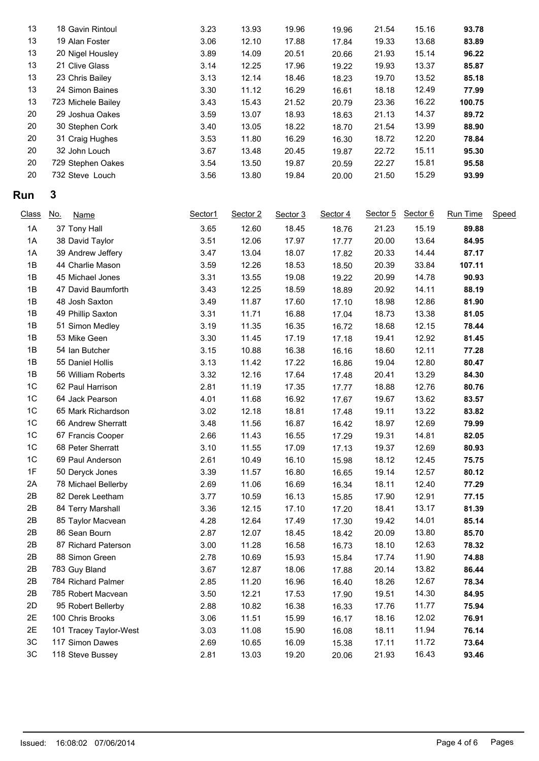| 13 | 18 Gavin Rintoul   | 3.23 | 13.93 | 19.96 | 19.96 | 21.54 | 15.16 | 93.78  |
|----|--------------------|------|-------|-------|-------|-------|-------|--------|
| 13 | 19 Alan Foster     | 3.06 | 12.10 | 17.88 | 17.84 | 19.33 | 13.68 | 83.89  |
| 13 | 20 Nigel Housley   | 3.89 | 14.09 | 20.51 | 20.66 | 21.93 | 15.14 | 96.22  |
| 13 | 21 Clive Glass     | 3.14 | 12.25 | 17.96 | 19.22 | 19.93 | 13.37 | 85.87  |
| 13 | 23 Chris Bailey    | 3.13 | 12.14 | 18.46 | 18.23 | 19.70 | 13.52 | 85.18  |
| 13 | 24 Simon Baines    | 3.30 | 11.12 | 16.29 | 16.61 | 18.18 | 12.49 | 77.99  |
| 13 | 723 Michele Bailey | 3.43 | 15.43 | 21.52 | 20.79 | 23.36 | 16.22 | 100.75 |
| 20 | 29 Joshua Oakes    | 3.59 | 13.07 | 18.93 | 18.63 | 21.13 | 14.37 | 89.72  |
| 20 | 30 Stephen Cork    | 3.40 | 13.05 | 18.22 | 18.70 | 21.54 | 13.99 | 88.90  |
| 20 | 31 Craig Hughes    | 3.53 | 11.80 | 16.29 | 16.30 | 18.72 | 12.20 | 78.84  |
| 20 | 32 John Louch      | 3.67 | 13.48 | 20.45 | 19.87 | 22.72 | 15.11 | 95.30  |
| 20 | 729 Stephen Oakes  | 3.54 | 13.50 | 19.87 | 20.59 | 22.27 | 15.81 | 95.58  |
| 20 | 732 Steve Louch    | 3.56 | 13.80 | 19.84 | 20.00 | 21.50 | 15.29 | 93.99  |
|    |                    |      |       |       |       |       |       |        |

## **Run 3**

| <b>Class</b>   | <u>No.</u><br><b>Name</b> | Sector1 | Sector 2 | Sector 3 | Sector 4 | Sector 5 | Sector 6 | Run Time | Speed |
|----------------|---------------------------|---------|----------|----------|----------|----------|----------|----------|-------|
| 1A             | 37 Tony Hall              | 3.65    | 12.60    | 18.45    | 18.76    | 21.23    | 15.19    | 89.88    |       |
| 1A             | 38 David Taylor           | 3.51    | 12.06    | 17.97    | 17.77    | 20.00    | 13.64    | 84.95    |       |
| 1A             | 39 Andrew Jeffery         | 3.47    | 13.04    | 18.07    | 17.82    | 20.33    | 14.44    | 87.17    |       |
| 1B             | 44 Charlie Mason          | 3.59    | 12.26    | 18.53    | 18.50    | 20.39    | 33.84    | 107.11   |       |
| 1B             | 45 Michael Jones          | 3.31    | 13.55    | 19.08    | 19.22    | 20.99    | 14.78    | 90.93    |       |
| 1B             | 47 David Baumforth        | 3.43    | 12.25    | 18.59    | 18.89    | 20.92    | 14.11    | 88.19    |       |
| 1B             | 48 Josh Saxton            | 3.49    | 11.87    | 17.60    | 17.10    | 18.98    | 12.86    | 81.90    |       |
| 1B             | 49 Phillip Saxton         | 3.31    | 11.71    | 16.88    | 17.04    | 18.73    | 13.38    | 81.05    |       |
| 1B             | 51 Simon Medley           | 3.19    | 11.35    | 16.35    | 16.72    | 18.68    | 12.15    | 78.44    |       |
| 1B             | 53 Mike Geen              | 3.30    | 11.45    | 17.19    | 17.18    | 19.41    | 12.92    | 81.45    |       |
| 1B             | 54 Ian Butcher            | 3.15    | 10.88    | 16.38    | 16.16    | 18.60    | 12.11    | 77.28    |       |
| 1B             | 55 Daniel Hollis          | 3.13    | 11.42    | 17.22    | 16.86    | 19.04    | 12.80    | 80.47    |       |
| 1B             | 56 William Roberts        | 3.32    | 12.16    | 17.64    | 17.48    | 20.41    | 13.29    | 84.30    |       |
| 1C             | 62 Paul Harrison          | 2.81    | 11.19    | 17.35    | 17.77    | 18.88    | 12.76    | 80.76    |       |
| 1C             | 64 Jack Pearson           | 4.01    | 11.68    | 16.92    | 17.67    | 19.67    | 13.62    | 83.57    |       |
| 1C             | 65 Mark Richardson        | 3.02    | 12.18    | 18.81    | 17.48    | 19.11    | 13.22    | 83.82    |       |
| 1 <sub>C</sub> | 66 Andrew Sherratt        | 3.48    | 11.56    | 16.87    | 16.42    | 18.97    | 12.69    | 79.99    |       |
| 1C             | 67 Francis Cooper         | 2.66    | 11.43    | 16.55    | 17.29    | 19.31    | 14.81    | 82.05    |       |
| 1 <sub>C</sub> | 68 Peter Sherratt         | 3.10    | 11.55    | 17.09    | 17.13    | 19.37    | 12.69    | 80.93    |       |
| 1C             | 69 Paul Anderson          | 2.61    | 10.49    | 16.10    | 15.98    | 18.12    | 12.45    | 75.75    |       |
| 1F             | 50 Deryck Jones           | 3.39    | 11.57    | 16.80    | 16.65    | 19.14    | 12.57    | 80.12    |       |
| 2A             | 78 Michael Bellerby       | 2.69    | 11.06    | 16.69    | 16.34    | 18.11    | 12.40    | 77.29    |       |
| 2B             | 82 Derek Leetham          | 3.77    | 10.59    | 16.13    | 15.85    | 17.90    | 12.91    | 77.15    |       |
| 2B             | 84 Terry Marshall         | 3.36    | 12.15    | 17.10    | 17.20    | 18.41    | 13.17    | 81.39    |       |
| 2B             | 85 Taylor Macvean         | 4.28    | 12.64    | 17.49    | 17.30    | 19.42    | 14.01    | 85.14    |       |
| 2B             | 86 Sean Bourn             | 2.87    | 12.07    | 18.45    | 18.42    | 20.09    | 13.80    | 85.70    |       |
| 2B             | 87 Richard Paterson       | 3.00    | 11.28    | 16.58    | 16.73    | 18.10    | 12.63    | 78.32    |       |
| 2B             | 88 Simon Green            | 2.78    | 10.69    | 15.93    | 15.84    | 17.74    | 11.90    | 74.88    |       |
| 2B             | 783 Guy Bland             | 3.67    | 12.87    | 18.06    | 17.88    | 20.14    | 13.82    | 86.44    |       |
| 2B             | 784 Richard Palmer        | 2.85    | 11.20    | 16.96    | 16.40    | 18.26    | 12.67    | 78.34    |       |
| 2B             | 785 Robert Macvean        | 3.50    | 12.21    | 17.53    | 17.90    | 19.51    | 14.30    | 84.95    |       |
| 2D             | 95 Robert Bellerby        | 2.88    | 10.82    | 16.38    | 16.33    | 17.76    | 11.77    | 75.94    |       |
| 2E             | 100 Chris Brooks          | 3.06    | 11.51    | 15.99    | 16.17    | 18.16    | 12.02    | 76.91    |       |
| 2E             | 101 Tracey Taylor-West    | 3.03    | 11.08    | 15.90    | 16.08    | 18.11    | 11.94    | 76.14    |       |
| 3C             | 117 Simon Dawes           | 2.69    | 10.65    | 16.09    | 15.38    | 17.11    | 11.72    | 73.64    |       |
| 3C             | 118 Steve Bussey          | 2.81    | 13.03    | 19.20    | 20.06    | 21.93    | 16.43    | 93.46    |       |
|                |                           |         |          |          |          |          |          |          |       |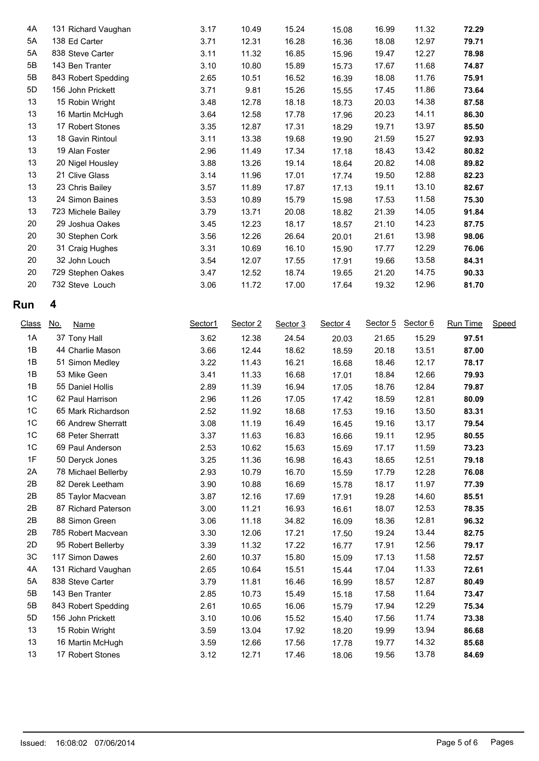| 4А | 131 Richard Vaughan | 3.17 | 10.49 | 15.24 | 15.08 | 16.99 | 11.32 | 72.29 |
|----|---------------------|------|-------|-------|-------|-------|-------|-------|
| 5A | 138 Ed Carter       | 3.71 | 12.31 | 16.28 | 16.36 | 18.08 | 12.97 | 79.71 |
| 5A | 838 Steve Carter    | 3.11 | 11.32 | 16.85 | 15.96 | 19.47 | 12.27 | 78.98 |
| 5B | 143 Ben Tranter     | 3.10 | 10.80 | 15.89 | 15.73 | 17.67 | 11.68 | 74.87 |
| 5B | 843 Robert Spedding | 2.65 | 10.51 | 16.52 | 16.39 | 18.08 | 11.76 | 75.91 |
| 5D | 156 John Prickett   | 3.71 | 9.81  | 15.26 | 15.55 | 17.45 | 11.86 | 73.64 |
| 13 | 15 Robin Wright     | 3.48 | 12.78 | 18.18 | 18.73 | 20.03 | 14.38 | 87.58 |
| 13 | 16 Martin McHugh    | 3.64 | 12.58 | 17.78 | 17.96 | 20.23 | 14.11 | 86.30 |
| 13 | 17 Robert Stones    | 3.35 | 12.87 | 17.31 | 18.29 | 19.71 | 13.97 | 85.50 |
| 13 | 18 Gavin Rintoul    | 3.11 | 13.38 | 19.68 | 19.90 | 21.59 | 15.27 | 92.93 |
| 13 | 19 Alan Foster      | 2.96 | 11.49 | 17.34 | 17.18 | 18.43 | 13.42 | 80.82 |
| 13 | 20 Nigel Housley    | 3.88 | 13.26 | 19.14 | 18.64 | 20.82 | 14.08 | 89.82 |
| 13 | 21 Clive Glass      | 3.14 | 11.96 | 17.01 | 17.74 | 19.50 | 12.88 | 82.23 |
| 13 | 23 Chris Bailey     | 3.57 | 11.89 | 17.87 | 17.13 | 19.11 | 13.10 | 82.67 |
| 13 | 24 Simon Baines     | 3.53 | 10.89 | 15.79 | 15.98 | 17.53 | 11.58 | 75.30 |
| 13 | 723 Michele Bailey  | 3.79 | 13.71 | 20.08 | 18.82 | 21.39 | 14.05 | 91.84 |
| 20 | 29 Joshua Oakes     | 3.45 | 12.23 | 18.17 | 18.57 | 21.10 | 14.23 | 87.75 |
| 20 | 30 Stephen Cork     | 3.56 | 12.26 | 26.64 | 20.01 | 21.61 | 13.98 | 98.06 |
| 20 | 31 Craig Hughes     | 3.31 | 10.69 | 16.10 | 15.90 | 17.77 | 12.29 | 76.06 |
| 20 | 32 John Louch       | 3.54 | 12.07 | 17.55 | 17.91 | 19.66 | 13.58 | 84.31 |
| 20 | 729 Stephen Oakes   | 3.47 | 12.52 | 18.74 | 19.65 | 21.20 | 14.75 | 90.33 |
| 20 | 732 Steve Louch     | 3.06 | 11.72 | 17.00 | 17.64 | 19.32 | 12.96 | 81.70 |
|    |                     |      |       |       |       |       |       |       |

## **Run 4**

| <b>Class</b>   | <u>No.</u><br>Name  | Sector1 | Sector 2 | Sector 3 | Sector 4 | Sector 5 | Sector 6 | Run Time | Speed |
|----------------|---------------------|---------|----------|----------|----------|----------|----------|----------|-------|
| 1A             | 37 Tony Hall        | 3.62    | 12.38    | 24.54    | 20.03    | 21.65    | 15.29    | 97.51    |       |
| 1B             | 44 Charlie Mason    | 3.66    | 12.44    | 18.62    | 18.59    | 20.18    | 13.51    | 87.00    |       |
| 1B             | 51 Simon Medley     | 3.22    | 11.43    | 16.21    | 16.68    | 18.46    | 12.17    | 78.17    |       |
| 1B             | 53 Mike Geen        | 3.41    | 11.33    | 16.68    | 17.01    | 18.84    | 12.66    | 79.93    |       |
| 1B             | 55 Daniel Hollis    | 2.89    | 11.39    | 16.94    | 17.05    | 18.76    | 12.84    | 79.87    |       |
| 1C             | 62 Paul Harrison    | 2.96    | 11.26    | 17.05    | 17.42    | 18.59    | 12.81    | 80.09    |       |
| 1C             | 65 Mark Richardson  | 2.52    | 11.92    | 18.68    | 17.53    | 19.16    | 13.50    | 83.31    |       |
| 1C             | 66 Andrew Sherratt  | 3.08    | 11.19    | 16.49    | 16.45    | 19.16    | 13.17    | 79.54    |       |
| 1C             | 68 Peter Sherratt   | 3.37    | 11.63    | 16.83    | 16.66    | 19.11    | 12.95    | 80.55    |       |
| 1 <sup>C</sup> | 69 Paul Anderson    | 2.53    | 10.62    | 15.63    | 15.69    | 17.17    | 11.59    | 73.23    |       |
| 1F             | 50 Deryck Jones     | 3.25    | 11.36    | 16.98    | 16.43    | 18.65    | 12.51    | 79.18    |       |
| 2A             | 78 Michael Bellerby | 2.93    | 10.79    | 16.70    | 15.59    | 17.79    | 12.28    | 76.08    |       |
| 2B             | 82 Derek Leetham    | 3.90    | 10.88    | 16.69    | 15.78    | 18.17    | 11.97    | 77.39    |       |
| 2B             | 85 Taylor Macvean   | 3.87    | 12.16    | 17.69    | 17.91    | 19.28    | 14.60    | 85.51    |       |
| 2B             | 87 Richard Paterson | 3.00    | 11.21    | 16.93    | 16.61    | 18.07    | 12.53    | 78.35    |       |
| 2B             | 88 Simon Green      | 3.06    | 11.18    | 34.82    | 16.09    | 18.36    | 12.81    | 96.32    |       |
| 2B             | 785 Robert Macvean  | 3.30    | 12.06    | 17.21    | 17.50    | 19.24    | 13.44    | 82.75    |       |
| 2D             | 95 Robert Bellerby  | 3.39    | 11.32    | 17.22    | 16.77    | 17.91    | 12.56    | 79.17    |       |
| 3C             | 117 Simon Dawes     | 2.60    | 10.37    | 15.80    | 15.09    | 17.13    | 11.58    | 72.57    |       |
| 4A             | 131 Richard Vaughan | 2.65    | 10.64    | 15.51    | 15.44    | 17.04    | 11.33    | 72.61    |       |
| 5A             | 838 Steve Carter    | 3.79    | 11.81    | 16.46    | 16.99    | 18.57    | 12.87    | 80.49    |       |
| 5B             | 143 Ben Tranter     | 2.85    | 10.73    | 15.49    | 15.18    | 17.58    | 11.64    | 73.47    |       |
| 5B             | 843 Robert Spedding | 2.61    | 10.65    | 16.06    | 15.79    | 17.94    | 12.29    | 75.34    |       |
| 5D             | 156 John Prickett   | 3.10    | 10.06    | 15.52    | 15.40    | 17.56    | 11.74    | 73.38    |       |
| 13             | 15 Robin Wright     | 3.59    | 13.04    | 17.92    | 18.20    | 19.99    | 13.94    | 86.68    |       |
| 13             | 16 Martin McHugh    | 3.59    | 12.66    | 17.56    | 17.78    | 19.77    | 14.32    | 85.68    |       |
| 13             | 17 Robert Stones    | 3.12    | 12.71    | 17.46    | 18.06    | 19.56    | 13.78    | 84.69    |       |